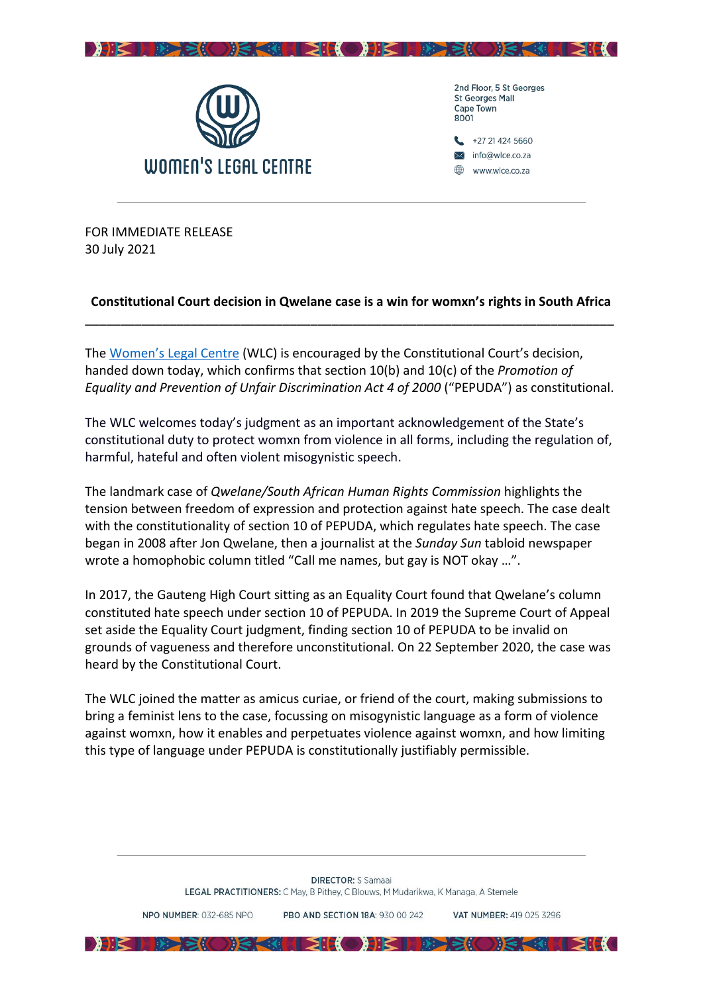



**St Georges Mall** Cape Town 8001 +27 21 424 5660 info@wlce.co.za

www.wlce.co.za

FOR IMMEDIATE RELEASE 30 July 2021

## **Constitutional Court decision in Qwelane case is a win for womxn's rights in South Africa** \_\_\_\_\_\_\_\_\_\_\_\_\_\_\_\_\_\_\_\_\_\_\_\_\_\_\_\_\_\_\_\_\_\_\_\_\_\_\_\_\_\_\_\_\_\_\_\_\_\_\_\_\_\_\_\_\_\_\_\_\_\_\_\_\_\_\_\_\_\_\_\_\_\_\_

The [Women's Legal Centre](https://wlce.co.za/) (WLC) is encouraged by the Constitutional Court's decision, handed down today, which confirms that section 10(b) and 10(c) of the *Promotion of Equality and Prevention of Unfair Discrimination Act 4 of 2000* ("PEPUDA") as constitutional.

The WLC welcomes today's judgment as an important acknowledgement of the State's constitutional duty to protect womxn from violence in all forms, including the regulation of, harmful, hateful and often violent misogynistic speech.

The landmark case of *Qwelane/South African Human Rights Commission* highlights the tension between freedom of expression and protection against hate speech. The case dealt with the constitutionality of section 10 of PEPUDA, which regulates hate speech. The case began in 2008 after Jon Qwelane, then a journalist at the *Sunday Sun* tabloid newspaper wrote a homophobic column titled "Call me names, but gay is NOT okay …".

In 2017, the Gauteng High Court sitting as an Equality Court found that Qwelane's column constituted hate speech under section 10 of PEPUDA. In 2019 the Supreme Court of Appeal set aside the Equality Court judgment, finding section 10 of PEPUDA to be invalid on grounds of vagueness and therefore unconstitutional. On 22 September 2020, the case was heard by the Constitutional Court.

The WLC joined the matter as amicus curiae, or friend of the court, making submissions to bring a feminist lens to the case, focussing on misogynistic language as a form of violence against womxn, how it enables and perpetuates violence against womxn, and how limiting this type of language under PEPUDA is constitutionally justifiably permissible.

PRO AND SECTION 18A: 930.00.242

DHE HEER SORE CHEER DHE HEER ORE CHEEK

VAT NUMRER: 419 025 3296

NPO NUMBER: 032-685 NPO